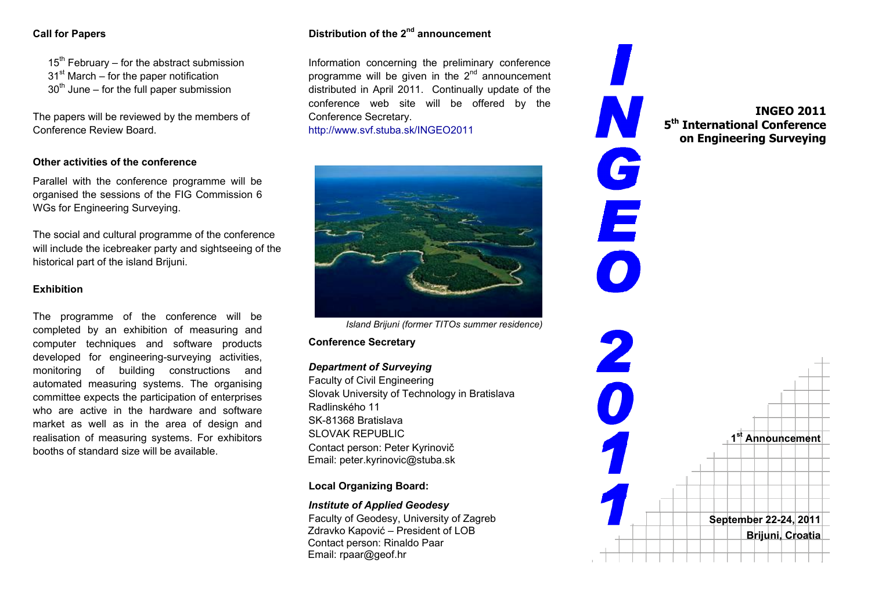$15<sup>th</sup>$  February – for the abstract submission  $31<sup>st</sup>$  March – for the paper notification  $30<sup>th</sup>$  June – for the full paper submission

The papers will be reviewed by the members of Conference Review Board.

### **Other activities of the conference**

Parallel with the conference programme will be organised the sessions of the FIG Commission 6 WGs for Engineering Surveying.

The social and cultural programme of the conference will include the icebreaker party and sightseeing of the historical part of the island Brijuni.

### **Exhibition**

The programme of the conference will be completed by an exhibition of measuring and computer techniques and software products developed for engineering-surveying activities, monitoring of building constructions and automated measuring systems. The organising committee expects the participation of enterprises who are active in the hardware and software market as well as in the area of design and realisation of measuring systems. For exhibitors booths of standard size will be available.

# **Call for Papers Distribution of the 2nd announcement**

Information concerning the preliminary conference programme will be given in the  $2^{nd}$  announcement distributed in April 2011. Continually update of the conference web site will be offered by the Conference Secretary.

http://www.svf.stuba.sk/INGEO2011



*Island Brijuni (former TITOs summer residence)* 

**Conference Secretary** 

### *Department of Surveying*

Faculty of Civil Engineering Slovak University of Technology in Bratislava Radlinského 11 SK-81368 Bratislava SLOVAK REPUBLIC Contact person: Peter Kyrinovi č Email: peter.kyrinovic@stuba.sk

## **Local Organizing Board:**

### *Institute of Applied Geodesy*

Faculty of Geodesy, University of Zagreb Zdravko Kapovi ć – President of LOB Contact person: Rinaldo Paar Email: rpaar@geof.hr

**INGEO 2011 5th International Conference on Engineering Surveying**   $\mathbf{C}$ E **1st Announcement September 22-24, 2011 Brijuni, Croatia**